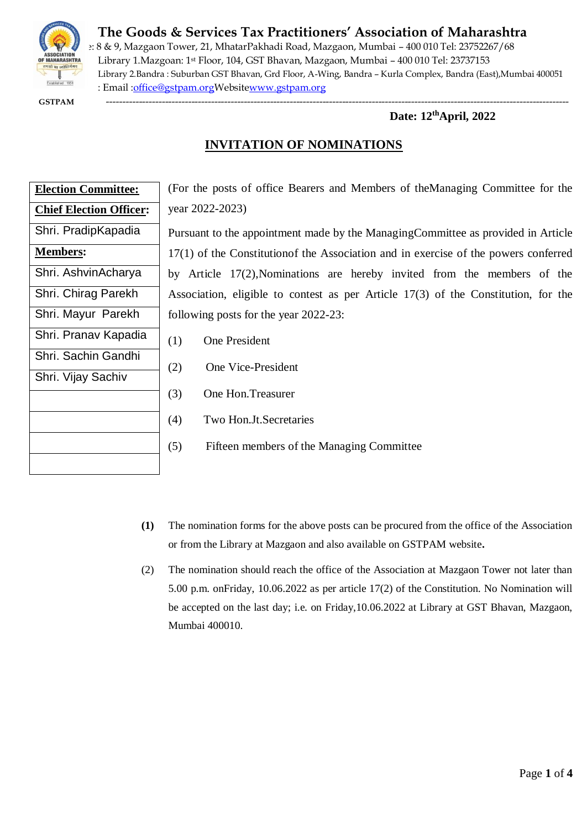

# **The Goods & Services Tax Practitioners' Association of Maharashtra**

e: 8 & 9, Mazgaon Tower, 21, MhatarPakhadi Road, Mazgaon, Mumbai – 400 010 Tel: 23752267/68 Library 1.Mazgoan: 1st Floor, 104, GST Bhavan, Mazgaon, Mumbai – 400 010 Tel: 23737153 Library 2.Bandra : Suburban GST Bhavan, Grd Floor, A-Wing, Bandra – Kurla Complex, Bandra (East),Mumbai 400051 : Email [:office@gstpam.orgW](mailto:office@gstpam.org)ebsit[ewww.gstpam.org](http://www.gstpam.org/)

 **GSTPAM** ---------------------------------------------------------------------------------------------------------------------------------------------

### **Date: 12 thApril, 2022**

## **INVITATION OF NOMINATIONS**

| <b>Election Committee:</b>     |  |  |  |
|--------------------------------|--|--|--|
| <b>Chief Election Officer:</b> |  |  |  |
| Shri. PradipKapadia            |  |  |  |
| <b>Members:</b>                |  |  |  |
| Shri. AshvinAcharya            |  |  |  |
| Shri. Chirag Parekh            |  |  |  |
| Shri. Mayur Parekh             |  |  |  |
| Shri. Pranav Kapadia           |  |  |  |
| Shri. Sachin Gandhi            |  |  |  |
| Shri. Vijay Sachiv             |  |  |  |
|                                |  |  |  |
|                                |  |  |  |
|                                |  |  |  |
|                                |  |  |  |

(For the posts of office Bearers and Members of theManaging Committee for the year 2022-2023)

Pursuant to the appointment made by the ManagingCommittee as provided in Article 17(1) of the Constitutionof the Association and in exercise of the powers conferred by Article 17(2),Nominations are hereby invited from the members of the Association, eligible to contest as per Article 17(3) of the Constitution, for the following posts for the year 2022-23:

- (1) One President
- (2) One Vice-President
- (3) One Hon.Treasurer
- (4) Two Hon.Jt.Secretaries
- (5) Fifteen members of the Managing Committee
- **(1)** The nomination forms for the above posts can be procured from the office of the Association or from the Library at Mazgaon and also available on GSTPAM website**.**
- (2) The nomination should reach the office of the Association at Mazgaon Tower not later than 5.00 p.m. onFriday, 10.06.2022 as per article 17(2) of the Constitution. No Nomination will be accepted on the last day; i.e. on Friday,10.06.2022 at Library at GST Bhavan, Mazgaon, Mumbai 400010.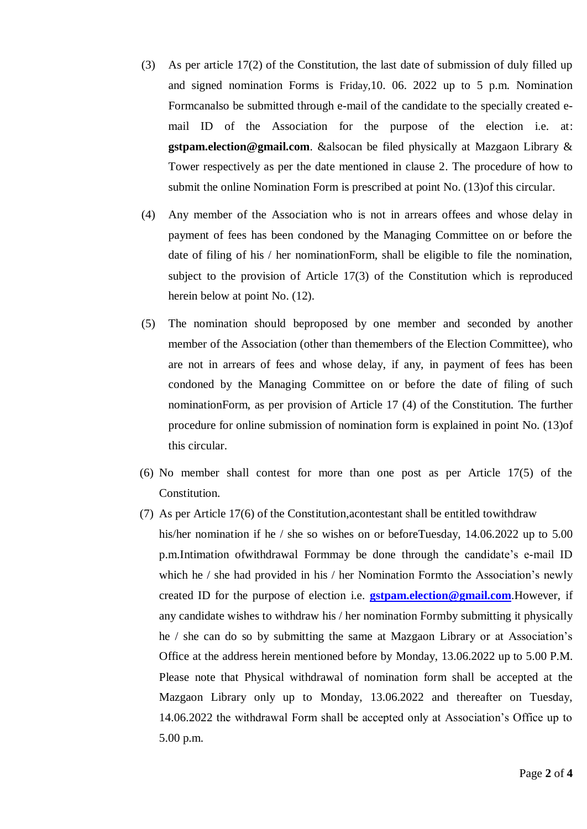- (3) As per article 17(2) of the Constitution, the last date of submission of duly filled up and signed nomination Forms is Friday,10. 06. 2022 up to 5 p.m. Nomination Formcanalso be submitted through e-mail of the candidate to the specially created email ID of the Association for the purpose of the election i.e. at: **gstpam.election@gmail.com**. &alsocan be filed physically at Mazgaon Library & Tower respectively as per the date mentioned in clause 2. The procedure of how to submit the online Nomination Form is prescribed at point No. (13)of this circular.
- (4) Any member of the Association who is not in arrears offees and whose delay in payment of fees has been condoned by the Managing Committee on or before the date of filing of his / her nominationForm, shall be eligible to file the nomination, subject to the provision of Article 17(3) of the Constitution which is reproduced herein below at point No. (12).
- (5) The nomination should beproposed by one member and seconded by another member of the Association (other than themembers of the Election Committee), who are not in arrears of fees and whose delay, if any, in payment of fees has been condoned by the Managing Committee on or before the date of filing of such nominationForm, as per provision of Article 17 (4) of the Constitution. The further procedure for online submission of nomination form is explained in point No. (13)of this circular.
- (6) No member shall contest for more than one post as per Article 17(5) of the Constitution.
- (7) As per Article 17(6) of the Constitution,acontestant shall be entitled towithdraw his/her nomination if he / she so wishes on or beforeTuesday, 14.06.2022 up to 5.00 p.m.Intimation ofwithdrawal Formmay be done through the candidate's e-mail ID which he / she had provided in his / her Nomination Formto the Association's newly created ID for the purpose of election i.e. **[gstpam.election@gmail.com](mailto:gstpam.election@gmail.com)**.However, if any candidate wishes to withdraw his / her nomination Formby submitting it physically he / she can do so by submitting the same at Mazgaon Library or at Association's Office at the address herein mentioned before by Monday, 13.06.2022 up to 5.00 P.M. Please note that Physical withdrawal of nomination form shall be accepted at the Mazgaon Library only up to Monday, 13.06.2022 and thereafter on Tuesday, 14.06.2022 the withdrawal Form shall be accepted only at Association's Office up to 5.00 p.m.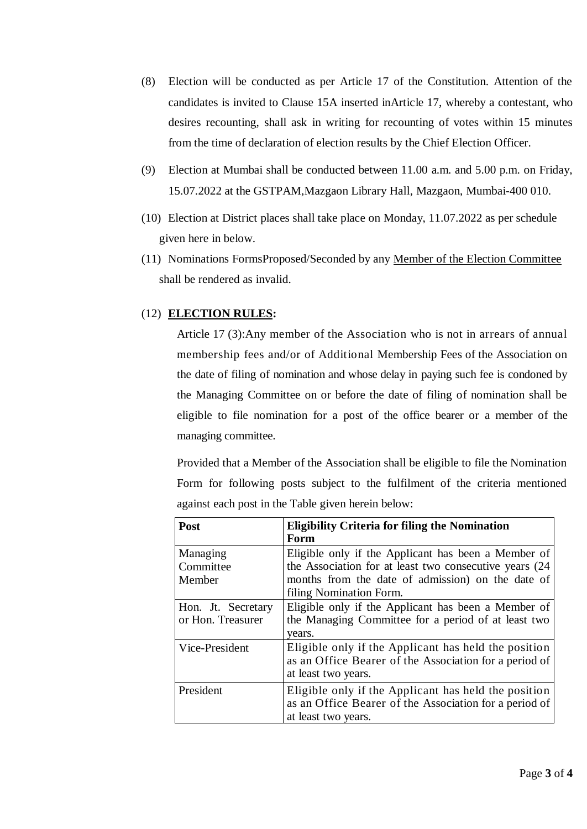- (8) Election will be conducted as per Article 17 of the Constitution. Attention of the candidates is invited to Clause 15A inserted inArticle 17, whereby a contestant, who desires recounting, shall ask in writing for recounting of votes within 15 minutes from the time of declaration of election results by the Chief Election Officer.
- (9) Election at Mumbai shall be conducted between 11.00 a.m. and 5.00 p.m. on Friday, 15.07.2022 at the GSTPAM,Mazgaon Library Hall, Mazgaon, Mumbai-400 010.
- (10) Election at District places shall take place on Monday, 11.07.2022 as per schedule given here in below.
- (11) Nominations FormsProposed/Seconded by any Member of the Election Committee shall be rendered as invalid.

## (12) **ELECTION RULES:**

Article 17 (3):Any member of the Association who is not in arrears of annual membership fees and/or of Additional Membership Fees of the Association on the date of filing of nomination and whose delay in paying such fee is condoned by the Managing Committee on or before the date of filing of nomination shall be eligible to file nomination for a post of the office bearer or a member of the managing committee.

Provided that a Member of the Association shall be eligible to file the Nomination Form for following posts subject to the fulfilment of the criteria mentioned against each post in the Table given herein below:

| Post               | <b>Eligibility Criteria for filing the Nomination</b>   |  |  |
|--------------------|---------------------------------------------------------|--|--|
|                    | Form                                                    |  |  |
| Managing           | Eligible only if the Applicant has been a Member of     |  |  |
| Committee          | the Association for at least two consecutive years (24) |  |  |
| Member             | months from the date of admission) on the date of       |  |  |
|                    | filing Nomination Form.                                 |  |  |
| Hon. Jt. Secretary | Eligible only if the Applicant has been a Member of     |  |  |
| or Hon. Treasurer  | the Managing Committee for a period of at least two     |  |  |
|                    | years.                                                  |  |  |
| Vice-President     | Eligible only if the Applicant has held the position    |  |  |
|                    | as an Office Bearer of the Association for a period of  |  |  |
|                    | at least two years.                                     |  |  |
| President          | Eligible only if the Applicant has held the position    |  |  |
|                    | as an Office Bearer of the Association for a period of  |  |  |
|                    | at least two years.                                     |  |  |